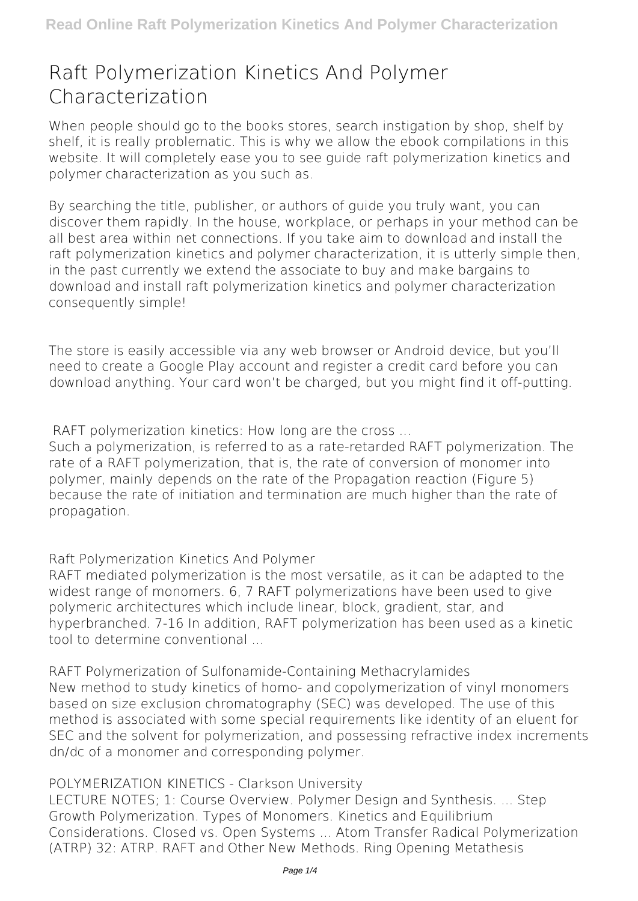# **Raft Polymerization Kinetics And Polymer Characterization**

When people should go to the books stores, search instigation by shop, shelf by shelf, it is really problematic. This is why we allow the ebook compilations in this website. It will completely ease you to see guide **raft polymerization kinetics and polymer characterization** as you such as.

By searching the title, publisher, or authors of guide you truly want, you can discover them rapidly. In the house, workplace, or perhaps in your method can be all best area within net connections. If you take aim to download and install the raft polymerization kinetics and polymer characterization, it is utterly simple then, in the past currently we extend the associate to buy and make bargains to download and install raft polymerization kinetics and polymer characterization consequently simple!

The store is easily accessible via any web browser or Android device, but you'll need to create a Google Play account and register a credit card before you can download anything. Your card won't be charged, but you might find it off-putting.

**RAFT polymerization kinetics: How long are the cross ...**

Such a polymerization, is referred to as a rate-retarded RAFT polymerization. The rate of a RAFT polymerization, that is, the rate of conversion of monomer into polymer, mainly depends on the rate of the Propagation reaction (Figure 5) because the rate of initiation and termination are much higher than the rate of propagation.

**Raft Polymerization Kinetics And Polymer**

RAFT mediated polymerization is the most versatile, as it can be adapted to the widest range of monomers. 6, 7 RAFT polymerizations have been used to give polymeric architectures which include linear, block, gradient, star, and hyperbranched. 7-16 In addition, RAFT polymerization has been used as a kinetic tool to determine conventional

**RAFT Polymerization of Sulfonamide-Containing Methacrylamides** New method to study kinetics of homo- and copolymerization of vinyl monomers based on size exclusion chromatography (SEC) was developed. The use of this method is associated with some special requirements like identity of an eluent for SEC and the solvent for polymerization, and possessing refractive index increments dn/dc of a monomer and corresponding polymer.

### **POLYMERIZATION KINETICS - Clarkson University**

LECTURE NOTES; 1: Course Overview. Polymer Design and Synthesis. ... Step Growth Polymerization. Types of Monomers. Kinetics and Equilibrium Considerations. Closed vs. Open Systems ... Atom Transfer Radical Polymerization (ATRP) 32: ATRP. RAFT and Other New Methods. Ring Opening Metathesis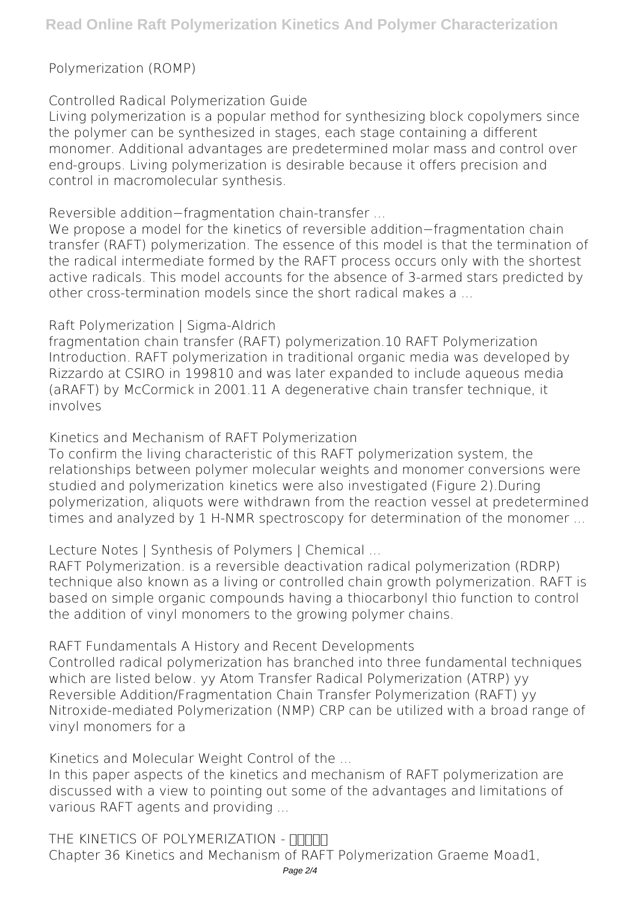## Polymerization (ROMP)

**Controlled Radical Polymerization Guide**

Living polymerization is a popular method for synthesizing block copolymers since the polymer can be synthesized in stages, each stage containing a different monomer. Additional advantages are predetermined molar mass and control over end-groups. Living polymerization is desirable because it offers precision and control in macromolecular synthesis.

**Reversible addition−fragmentation chain-transfer ...**

We propose a model for the kinetics of reversible addition−fragmentation chain transfer (RAFT) polymerization. The essence of this model is that the termination of the radical intermediate formed by the RAFT process occurs only with the shortest active radicals. This model accounts for the absence of 3-armed stars predicted by other cross-termination models since the short radical makes a ...

**Raft Polymerization | Sigma-Aldrich**

fragmentation chain transfer (RAFT) polymerization.10 RAFT Polymerization Introduction. RAFT polymerization in traditional organic media was developed by Rizzardo at CSIRO in 199810 and was later expanded to include aqueous media (aRAFT) by McCormick in 2001.11 A degenerative chain transfer technique, it involves

**Kinetics and Mechanism of RAFT Polymerization**

To confirm the living characteristic of this RAFT polymerization system, the relationships between polymer molecular weights and monomer conversions were studied and polymerization kinetics were also investigated (Figure 2).During polymerization, aliquots were withdrawn from the reaction vessel at predetermined times and analyzed by 1 H-NMR spectroscopy for determination of the monomer ...

**Lecture Notes | Synthesis of Polymers | Chemical ...**

RAFT Polymerization. is a reversible deactivation radical polymerization (RDRP) technique also known as a living or controlled chain growth polymerization. RAFT is based on simple organic compounds having a thiocarbonyl thio function to control the addition of vinyl monomers to the growing polymer chains.

**RAFT Fundamentals A History and Recent Developments** Controlled radical polymerization has branched into three fundamental techniques which are listed below. yy Atom Transfer Radical Polymerization (ATRP) yy Reversible Addition/Fragmentation Chain Transfer Polymerization (RAFT) yy Nitroxide-mediated Polymerization (NMP) CRP can be utilized with a broad range of vinyl monomers for a

**Kinetics and Molecular Weight Control of the ...**

In this paper aspects of the kinetics and mechanism of RAFT polymerization are discussed with a view to pointing out some of the advantages and limitations of various RAFT agents and providing ...

THE KINETICS OF POLYMERIZATION - **ΠΠΠΠ** Chapter 36 Kinetics and Mechanism of RAFT Polymerization Graeme Moad1,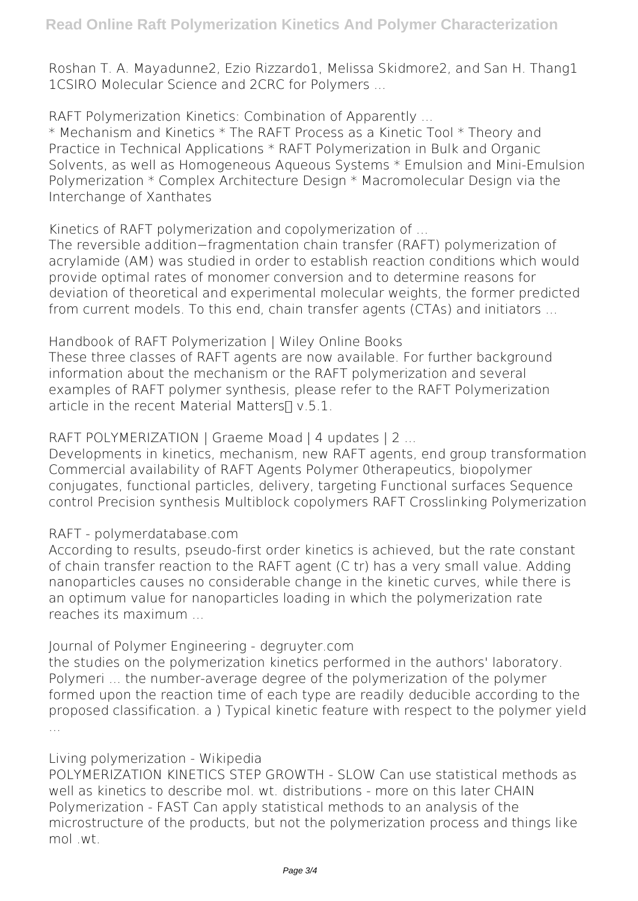Roshan T. A. Mayadunne2, Ezio Rizzardo1, Melissa Skidmore2, and San H. Thang1 1CSIRO Molecular Science and 2CRC for Polymers ...

**RAFT Polymerization Kinetics: Combination of Apparently ...**

\* Mechanism and Kinetics \* The RAFT Process as a Kinetic Tool \* Theory and Practice in Technical Applications \* RAFT Polymerization in Bulk and Organic Solvents, as well as Homogeneous Aqueous Systems \* Emulsion and Mini-Emulsion Polymerization \* Complex Architecture Design \* Macromolecular Design via the Interchange of Xanthates

**Kinetics of RAFT polymerization and copolymerization of ...**

The reversible addition−fragmentation chain transfer (RAFT) polymerization of acrylamide (AM) was studied in order to establish reaction conditions which would provide optimal rates of monomer conversion and to determine reasons for deviation of theoretical and experimental molecular weights, the former predicted from current models. To this end, chain transfer agents (CTAs) and initiators ...

**Handbook of RAFT Polymerization | Wiley Online Books**

These three classes of RAFT agents are now available. For further background information about the mechanism or the RAFT polymerization and several examples of RAFT polymer synthesis, please refer to the RAFT Polymerization article in the recent Material Matters $\Pi$  v.5.1.

**RAFT POLYMERIZATION | Graeme Moad | 4 updates | 2 ...**

Developments in kinetics, mechanism, new RAFT agents, end group transformation Commercial availability of RAFT Agents Polymer 0therapeutics, biopolymer conjugates, functional particles, delivery, targeting Functional surfaces Sequence control Precision synthesis Multiblock copolymers RAFT Crosslinking Polymerization

## **RAFT - polymerdatabase.com**

According to results, pseudo-first order kinetics is achieved, but the rate constant of chain transfer reaction to the RAFT agent (C tr) has a very small value. Adding nanoparticles causes no considerable change in the kinetic curves, while there is an optimum value for nanoparticles loading in which the polymerization rate reaches its maximum ...

**Journal of Polymer Engineering - degruyter.com**

the studies on the polymerization kinetics performed in the authors' laboratory. Polymeri ... the number-average degree of the polymerization of the polymer formed upon the reaction time of each type are readily deducible according to the proposed classification. a ) Typical kinetic feature with respect to the polymer yield ...

### **Living polymerization - Wikipedia**

POLYMERIZATION KINETICS STEP GROWTH - SLOW Can use statistical methods as well as kinetics to describe mol. wt. distributions - more on this later CHAIN Polymerization - FAST Can apply statistical methods to an analysis of the microstructure of the products, but not the polymerization process and things like mol .wt.